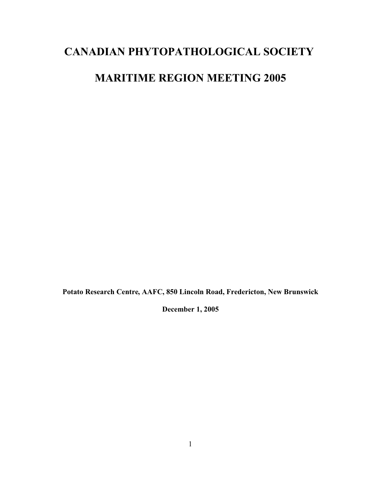# **CANADIAN PHYTOPATHOLOGICAL SOCIETY**

# **MARITIME REGION MEETING 2005**

**Potato Research Centre, AAFC, 850 Lincoln Road, Fredericton, New Brunswick**

**December 1, 2005**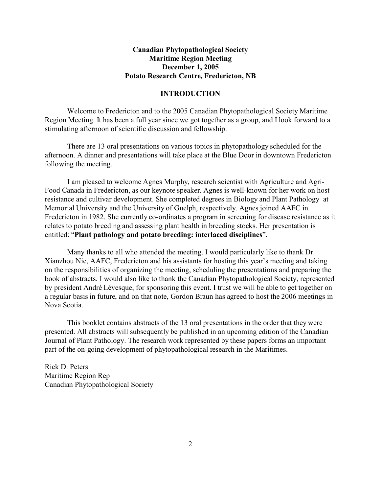### **Canadian Phytopathological Society Maritime Region Meeting December 1, 2005 Potato Research Centre, Fredericton, NB**

### **INTRODUCTION**

Welcome to Fredericton and to the 2005 Canadian Phytopathological Society Maritime Region Meeting. It has been a full year since we got together as a group, and I look forward to a stimulating afternoon of scientific discussion and fellowship.

There are 13 oral presentations on various topics in phytopathology scheduled for the afternoon. A dinner and presentations will take place at the Blue Door in downtown Fredericton following the meeting.

I am pleased to welcome Agnes Murphy, research scientist with Agriculture and Agri-Food Canada in Fredericton, as our keynote speaker. Agnes is well-known for her work on host resistance and cultivar development. She completed degrees in Biology and Plant Pathology at Memorial University and the University of Guelph, respectively. Agnes joined AAFC in Fredericton in 1982. She currently co-ordinates a program in screening for disease resistance as it relates to potato breeding and assessing plant health in breeding stocks. Her presentation is entitled: "**Plant pathology and potato breeding: interlaced disciplines**".

Many thanks to all who attended the meeting. I would particularly like to thank Dr. Xianzhou Nie, AAFC, Fredericton and his assistants for hosting this year's meeting and taking on the responsibilities of organizing the meeting, scheduling the presentations and preparing the book of abstracts. I would also like to thank the Canadian Phytopathological Society, represented by president André Lévesque, for sponsoring this event. I trust we will be able to get together on a regular basis in future, and on that note, Gordon Braun has agreed to host the 2006 meetings in Nova Scotia.

This booklet contains abstracts of the 13 oral presentations in the order that they were presented. All abstracts will subsequently be published in an upcoming edition of the Canadian Journal of Plant Pathology. The research work represented by these papers forms an important part of the on-going development of phytopathological research in the Maritimes.

Rick D. Peters Maritime Region Rep Canadian Phytopathological Society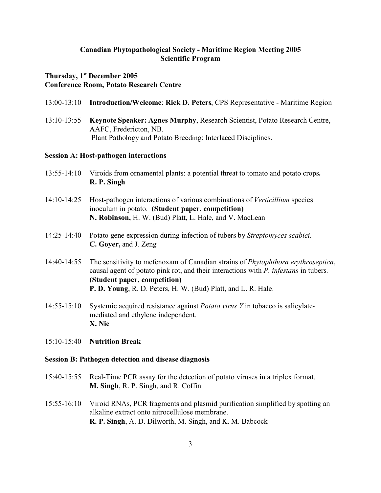### **Canadian Phytopathological Society - Maritime Region Meeting 2005 Scientific Program**

### **Thursday, 1st December 2005 Conference Room, Potato Research Centre**

- 13:00-13:10 **Introduction/Welcome**: **Rick D. Peters**, CPS Representative Maritime Region
- 13:10-13:55 **Keynote Speaker: Agnes Murphy**, Research Scientist, Potato Research Centre, AAFC, Fredericton, NB. Plant Pathology and Potato Breeding: Interlaced Disciplines.

#### **Session A: Host-pathogen interactions**

- 13:55-14:10 Viroids from ornamental plants: a potential threat to tomato and potato crops**. R. P. Singh**
- 14:10-14:25 Host-pathogen interactions of various combinations of *Verticillium* species inoculum in potato. **(Student paper, competition) N. Robinson,** H. W. (Bud) Platt, L. Hale, and V. MacLean
- 14:25-14:40 Potato gene expression during infection of tubers by *Streptomyces scabiei*. **C. Goyer,** and J. Zeng
- 14:40-14:55 The sensitivity to mefenoxam of Canadian strains of *Phytophthora erythroseptica*, causal agent of potato pink rot, and their interactions with *P. infestans* in tubers. **(Student paper, competition) P. D. Young**, R. D. Peters, H. W. (Bud) Platt, and L. R. Hale.
- 14:55-15:10 Systemic acquired resistance against *Potato virus Y* in tobacco is salicylatemediated and ethylene independent. **X. Nie**
- 15:10-15:40 **Nutrition Break**

#### **Session B: Pathogen detection and disease diagnosis**

- 15:40-15:55 Real-Time PCR assay for the detection of potato viruses in a triplex format. **M. Singh**, R. P. Singh, and R. Coffin
- 15:55-16:10 Viroid RNAs, PCR fragments and plasmid purification simplified by spotting an alkaline extract onto nitrocellulose membrane. **R. P. Singh**, A. D. Dilworth, M. Singh, and K. M. Babcock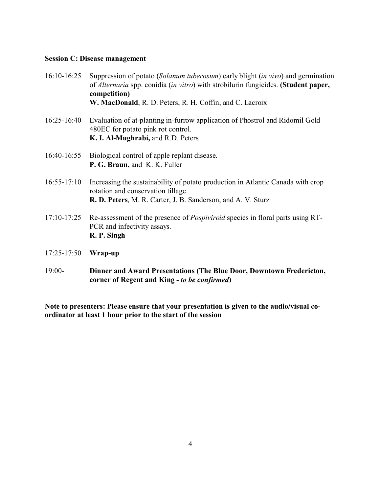### **Session C: Disease management**

- 16:10-16:25 Suppression of potato (*Solanum tuberosum*) early blight (*in vivo*) and germination of *Alternaria* spp. conidia (*in vitro*) with strobilurin fungicides. **(Student paper, competition) W. MacDonald**, R. D. Peters, R. H. Coffin, and C. Lacroix
- 16:25-16:40 Evaluation of at-planting in-furrow application of Phostrol and Ridomil Gold 480EC for potato pink rot control. **K. I. Al-Mughrabi,** and R.D. Peters
- 16:40-16:55 Biological control of apple replant disease. **P. G. Braun,** and K. K. Fuller
- 16:55-17:10 Increasing the sustainability of potato production in Atlantic Canada with crop rotation and conservation tillage. **R. D. Peters**, M. R. Carter, J. B. Sanderson, and A. V. Sturz
- 17:10-17:25 Re-assessment of the presence of *Pospiviroid* species in floral parts using RT-PCR and infectivity assays. **R. P. Singh**
- 17:25-17:50 **Wrap-up**
- 19:00- **Dinner and Award Presentations (The Blue Door, Downtown Fredericton, corner of Regent and King -** *to be confirmed***)**

**Note to presenters: Please ensure that your presentation is given to the audio/visual coordinator at least 1 hour prior to the start of the session**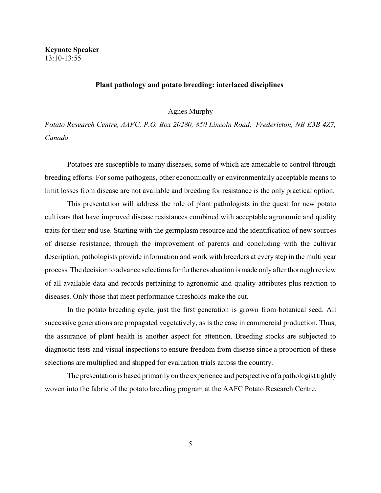### **Plant pathology and potato breeding: interlaced disciplines**

Agnes Murphy

*Potato Research Centre, AAFC, P.O. Box 20280, 850 Lincoln Road, Fredericton, NB E3B 4Z7, Canada.* 

Potatoes are susceptible to many diseases, some of which are amenable to control through breeding efforts. For some pathogens, other economically or environmentally acceptable means to limit losses from disease are not available and breeding for resistance is the only practical option.

This presentation will address the role of plant pathologists in the quest for new potato cultivars that have improved disease resistances combined with acceptable agronomic and quality traits for their end use. Starting with the germplasm resource and the identification of new sources of disease resistance, through the improvement of parents and concluding with the cultivar description, pathologists provide information and work with breeders at every step in the multi year process. The decision to advance selections for further evaluation is made only after thorough review of all available data and records pertaining to agronomic and quality attributes plus reaction to diseases. Only those that meet performance thresholds make the cut.

In the potato breeding cycle, just the first generation is grown from botanical seed. All successive generations are propagated vegetatively, as is the case in commercial production. Thus, the assurance of plant health is another aspect for attention. Breeding stocks are subjected to diagnostic tests and visual inspections to ensure freedom from disease since a proportion of these selections are multiplied and shipped for evaluation trials across the country.

The presentation is based primarily on the experience and perspective of a pathologist tightly woven into the fabric of the potato breeding program at the AAFC Potato Research Centre.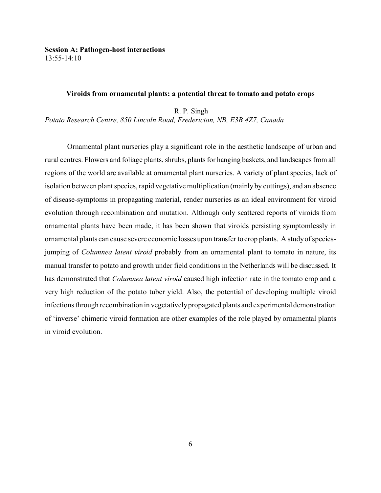**Session A: Pathogen-host interactions** 13:55-14:10

#### **Viroids from ornamental plants: a potential threat to tomato and potato crops**

R. P. Singh

*Potato Research Centre, 850 Lincoln Road, Fredericton, NB, E3B 4Z7, Canada* 

Ornamental plant nurseries play a significant role in the aesthetic landscape of urban and rural centres. Flowers and foliage plants, shrubs, plants for hanging baskets, and landscapes from all regions of the world are available at ornamental plant nurseries. A variety of plant species, lack of isolation between plant species, rapid vegetative multiplication (mainly by cuttings), and an absence of disease-symptoms in propagating material, render nurseries as an ideal environment for viroid evolution through recombination and mutation. Although only scattered reports of viroids from ornamental plants have been made, it has been shown that viroids persisting symptomlessly in ornamental plants can cause severe economic losses upon transfer to crop plants. A study of speciesjumping of *Columnea latent viroid* probably from an ornamental plant to tomato in nature, its manual transfer to potato and growth under field conditions in the Netherlands will be discussed. It has demonstrated that *Columnea latent viroid* caused high infection rate in the tomato crop and a very high reduction of the potato tuber yield. Also, the potential of developing multiple viroid infections through recombination in vegetatively propagated plants and experimental demonstration of 'inverse' chimeric viroid formation are other examples of the role played by ornamental plants in viroid evolution.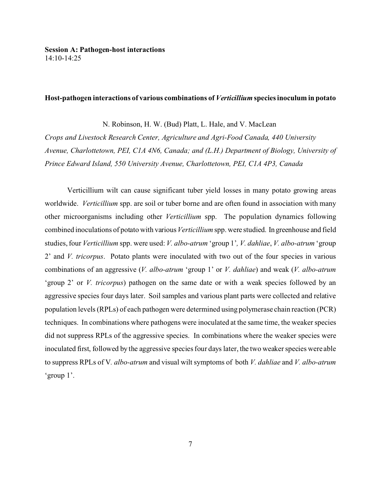#### **Host-pathogen interactions of various combinations of** *Verticillium* **species inoculum in potato**

N. Robinson, H. W. (Bud) Platt, L. Hale, and V. MacLean

*Crops and Livestock Research Center, Agriculture and Agri-Food Canada, 440 University Avenue, Charlottetown, PEI, C1A 4N6, Canada; and (L.H.) Department of Biology, University of Prince Edward Island, 550 University Avenue, Charlottetown, PEI, C1A 4P3, Canada* 

Verticillium wilt can cause significant tuber yield losses in many potato growing areas worldwide. *Verticillium* spp. are soil or tuber borne and are often found in association with many other microorganisms including other *Verticillium* spp. The population dynamics following combined inoculations of potato with various *Verticillium* spp. were studied. In greenhouse and field studies, four *Verticillium* spp. were used: *V. albo-atrum* 'group 1'*, V. dahliae*, *V. albo-atrum* 'group 2' and *V. tricorpus*. Potato plants were inoculated with two out of the four species in various combinations of an aggressive (*V. albo-atrum* 'group 1' or *V. dahliae*) and weak (*V. albo-atrum* 'group 2' or *V. tricorpus*) pathogen on the same date or with a weak species followed by an aggressive species four days later. Soil samples and various plant parts were collected and relative population levels (RPLs) of each pathogen were determined using polymerase chain reaction (PCR) techniques. In combinations where pathogens were inoculated at the same time, the weaker species did not suppress RPLs of the aggressive species. In combinations where the weaker species were inoculated first, followed by the aggressive species four days later, the two weaker species were able to suppress RPLs of V*. albo-atrum* and visual wilt symptoms of both *V. dahliae* and *V. albo-atrum* 'group 1'.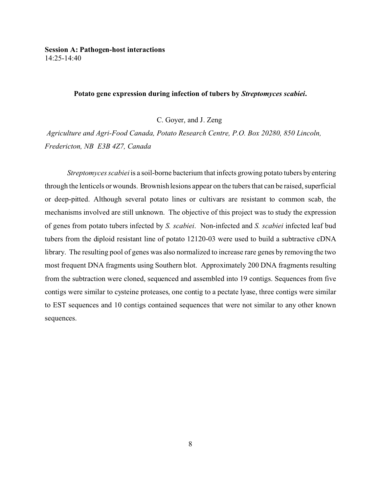### **Potato gene expression during infection of tubers by** *Streptomyces scabiei***.**

C. Goyer, and J. Zeng

*Agriculture and Agri-Food Canada, Potato Research Centre, P.O. Box 20280, 850 Lincoln, Fredericton, NB E3B 4Z7, Canada*

*Streptomyces scabiei* is a soil-borne bacterium that infects growing potato tubers by entering through the lenticels or wounds. Brownish lesions appear on the tubers that can be raised, superficial or deep-pitted. Although several potato lines or cultivars are resistant to common scab, the mechanisms involved are still unknown. The objective of this project was to study the expression of genes from potato tubers infected by *S. scabiei*. Non-infected and *S. scabiei* infected leaf bud tubers from the diploid resistant line of potato 12120-03 were used to build a subtractive cDNA library. The resulting pool of genes was also normalized to increase rare genes by removing the two most frequent DNA fragments using Southern blot. Approximately 200 DNA fragments resulting from the subtraction were cloned, sequenced and assembled into 19 contigs. Sequences from five contigs were similar to cysteine proteases, one contig to a pectate lyase, three contigs were similar to EST sequences and 10 contigs contained sequences that were not similar to any other known sequences.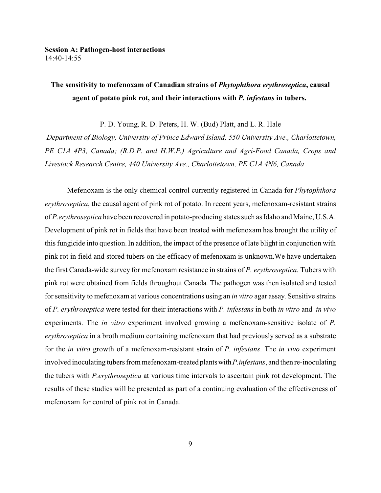# **The sensitivity to mefenoxam of Canadian strains of** *Phytophthora erythroseptica***, causal agent of potato pink rot, and their interactions with** *P. infestans* **in tubers.**

P. D. Young, R. D. Peters, H. W. (Bud) Platt, and L. R. Hale

*Department of Biology, University of Prince Edward Island, 550 University Ave., Charlottetown, PE C1A 4P3, Canada; (R.D.P. and H.W.P.) Agriculture and Agri-Food Canada, Crops and Livestock Research Centre, 440 University Ave., Charlottetown, PE C1A 4N6, Canada*

Mefenoxam is the only chemical control currently registered in Canada for *Phytophthora erythroseptica*, the causal agent of pink rot of potato. In recent years, mefenoxam-resistant strains of *P.erythroseptica* have been recovered in potato-producing states such as Idaho and Maine, U.S.A. Development of pink rot in fields that have been treated with mefenoxam has brought the utility of this fungicide into question. In addition, the impact of the presence of late blight in conjunction with pink rot in field and stored tubers on the efficacy of mefenoxam is unknown.We have undertaken the first Canada-wide survey for mefenoxam resistance in strains of *P. erythroseptica*. Tubers with pink rot were obtained from fields throughout Canada. The pathogen was then isolated and tested for sensitivity to mefenoxam at various concentrations using an *in vitro* agar assay. Sensitive strains of *P. erythroseptica* were tested for their interactions with *P. infestans* in both *in vitro* and *in vivo* experiments. The *in vitro* experiment involved growing a mefenoxam-sensitive isolate of *P. erythroseptica* in a broth medium containing mefenoxam that had previously served as a substrate for the *in vitro* growth of a mefenoxam-resistant strain of *P. infestans*. The *in vivo* experiment involved inoculating tubers from mefenoxam-treated plantswith*P.infestans*, and then re-inoculating the tubers with *P.erythroseptica* at various time intervals to ascertain pink rot development. The results of these studies will be presented as part of a continuing evaluation of the effectiveness of mefenoxam for control of pink rot in Canada.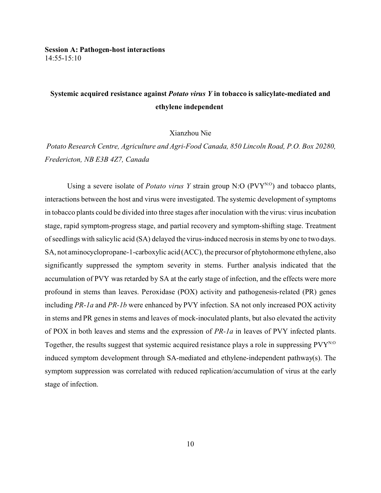# **Systemic acquired resistance against** *Potato virus Y* **in tobacco is salicylate-mediated and ethylene independent**

Xianzhou Nie

*Potato Research Centre, Agriculture and Agri-Food Canada, 850 Lincoln Road, P.O. Box 20280, Fredericton, NB E3B 4Z7, Canada*

Using a severe isolate of *Potato virus Y* strain group N:O ( $PVY^{N:O}$ ) and tobacco plants, interactions between the host and virus were investigated. The systemic development of symptoms in tobacco plants could be divided into three stages after inoculation with the virus: virus incubation stage, rapid symptom-progress stage, and partial recovery and symptom-shifting stage. Treatment of seedlings with salicylic acid (SA) delayed the virus-induced necrosis in stems by one to two days. SA, not aminocyclopropane-1-carboxylic acid (ACC), the precursor of phytohormone ethylene, also significantly suppressed the symptom severity in stems. Further analysis indicated that the accumulation of PVY was retarded by SA at the early stage of infection, and the effects were more profound in stems than leaves. Peroxidase (POX) activity and pathogenesis-related (PR) genes including *PR-1a* and *PR-1b* were enhanced by PVY infection. SA not only increased POX activity in stems and PR genes in stems and leaves of mock-inoculated plants, but also elevated the activity of POX in both leaves and stems and the expression of *PR-1a* in leaves of PVY infected plants. Together, the results suggest that systemic acquired resistance plays a role in suppressing  $PVT^{N_O}$ induced symptom development through SA-mediated and ethylene-independent pathway(s). The symptom suppression was correlated with reduced replication/accumulation of virus at the early stage of infection.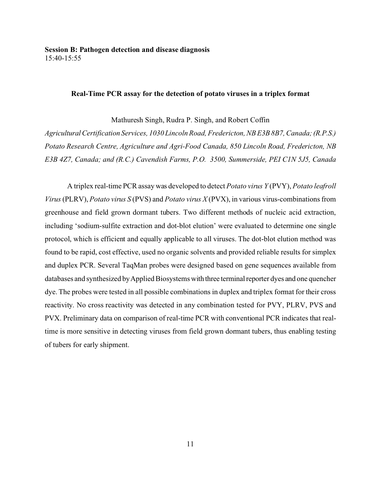### **Real-Time PCR assay for the detection of potato viruses in a triplex format**

Mathuresh Singh, Rudra P. Singh, and Robert Coffin

*Agricultural Certification Services, 1030 Lincoln Road, Fredericton, NB E3B 8B7, Canada;(R.P.S.) Potato Research Centre, Agriculture and Agri-Food Canada, 850 Lincoln Road, Fredericton, NB E3B 4Z7, Canada; and (R.C.) Cavendish Farms, P.O. 3500, Summerside, PEI C1N 5J5, Canada*

A triplex real-time PCR assay was developed to detect *Potato virus Y* (PVY), *Potato leafroll Virus* (PLRV), *Potato virus S* (PVS) and *Potato virus X* (PVX), in various virus-combinations from greenhouse and field grown dormant tubers. Two different methods of nucleic acid extraction, including 'sodium-sulfite extraction and dot-blot elution' were evaluated to determine one single protocol, which is efficient and equally applicable to all viruses. The dot-blot elution method was found to be rapid, cost effective, used no organic solvents and provided reliable results for simplex and duplex PCR. Several TaqMan probes were designed based on gene sequences available from databases and synthesized by Applied Biosystems with three terminal reporter dyes and one quencher dye. The probes were tested in all possible combinations in duplex and triplex format for their cross reactivity. No cross reactivity was detected in any combination tested for PVY, PLRV, PVS and PVX. Preliminary data on comparison of real-time PCR with conventional PCR indicates that realtime is more sensitive in detecting viruses from field grown dormant tubers, thus enabling testing of tubers for early shipment.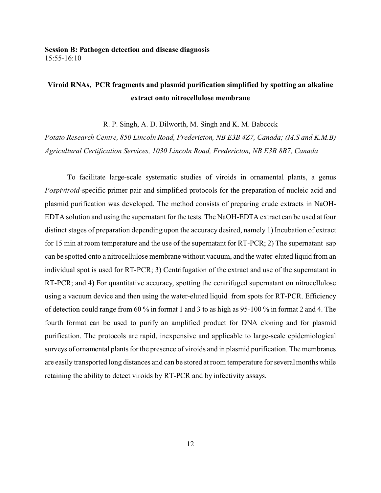# **Viroid RNAs, PCR fragments and plasmid purification simplified by spotting an alkaline extract onto nitrocellulose membrane**

R. P. Singh, A. D. Dilworth, M. Singh and K. M. Babcock

*Potato Research Centre, 850 Lincoln Road, Fredericton, NB E3B 4Z7, Canada; (M.S and K.M.B) Agricultural Certification Services, 1030 Lincoln Road, Fredericton, NB E3B 8B7, Canada*

To facilitate large-scale systematic studies of viroids in ornamental plants, a genus *Pospiviroid-*specific primer pair and simplified protocols for the preparation of nucleic acid and plasmid purification was developed. The method consists of preparing crude extracts in NaOH-EDTA solution and using the supernatant for the tests. The NaOH-EDTA extract can be used at four distinct stages of preparation depending upon the accuracy desired, namely 1) Incubation of extract for 15 min at room temperature and the use of the supernatant for RT-PCR; 2) The supernatant sap can be spotted onto a nitrocellulose membrane without vacuum, and the water-eluted liquid from an individual spot is used for RT-PCR; 3) Centrifugation of the extract and use of the supernatant in RT-PCR; and 4) For quantitative accuracy, spotting the centrifuged supernatant on nitrocellulose using a vacuum device and then using the water-eluted liquid from spots for RT-PCR. Efficiency of detection could range from 60 % in format 1 and 3 to as high as 95-100 % in format 2 and 4. The fourth format can be used to purify an amplified product for DNA cloning and for plasmid purification. The protocols are rapid, inexpensive and applicable to large-scale epidemiological surveys of ornamental plants for the presence of viroids and in plasmid purification. The membranes are easily transported long distances and can be stored at room temperature for several months while retaining the ability to detect viroids by RT-PCR and by infectivity assays.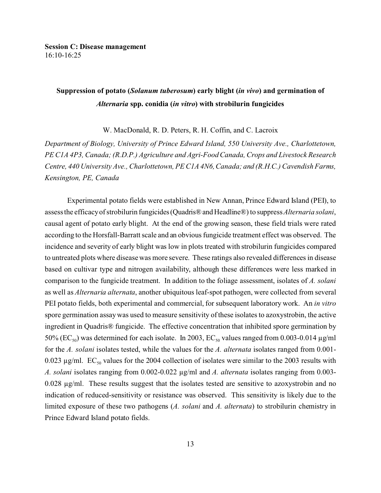## **Suppression of potato (***Solanum tuberosum***) early blight (***in vivo***) and germination of** *Alternaria* **spp. conidia (***in vitro***) with strobilurin fungicides**

W. MacDonald, R. D. Peters, R. H. Coffin, and C. Lacroix

*Department of Biology, University of Prince Edward Island, 550 University Ave., Charlottetown, PE C1A 4P3, Canada; (R.D.P.) Agriculture and Agri-Food Canada, Crops and Livestock Research Centre, 440 University Ave., Charlottetown, PE C1A 4N6, Canada; and (R.H.C.) Cavendish Farms, Kensington, PE, Canada*

Experimental potato fields were established in New Annan, Prince Edward Island (PEI), to assess the efficacy of strobilurin fungicides(Quadris®andHeadline®) to suppress *Alternaria solani*, causal agent of potato early blight. At the end of the growing season, these field trials were rated according to the Horsfall-Barratt scale and an obvious fungicide treatment effect was observed. The incidence and severity of early blight was low in plots treated with strobilurin fungicides compared to untreated plots where disease was more severe. These ratings also revealed differences in disease based on cultivar type and nitrogen availability, although these differences were less marked in comparison to the fungicide treatment. In addition to the foliage assessment, isolates of *A. solani* as well as *Alternaria alternata*, another ubiquitous leaf-spot pathogen, were collected from several PEI potato fields, both experimental and commercial, for subsequent laboratory work. An *in vitro* spore germination assay was used to measure sensitivity of these isolates to azoxystrobin, the active ingredient in Quadris® fungicide. The effective concentration that inhibited spore germination by 50% ( $\text{EC}_{50}$ ) was determined for each isolate. In 2003,  $\text{EC}_{50}$  values ranged from 0.003-0.014  $\mu$ g/ml for the *A. solani* isolates tested, while the values for the *A. alternata* isolates ranged from 0.001- 0.023  $\mu$ g/ml. EC<sub>50</sub> values for the 2004 collection of isolates were similar to the 2003 results with *A. solani* isolates ranging from 0.002-0.022 µg/ml and *A. alternata* isolates ranging from 0.003- 0.028 µg/ml. These results suggest that the isolates tested are sensitive to azoxystrobin and no indication of reduced-sensitivity or resistance was observed. This sensitivity is likely due to the limited exposure of these two pathogens (*A. solani* and *A. alternata*) to strobilurin chemistry in Prince Edward Island potato fields.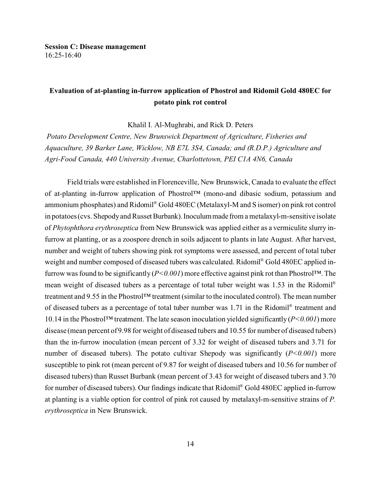## **Evaluation of at-planting in-furrow application of Phostrol and Ridomil Gold 480EC for potato pink rot control**

Khalil I. Al-Mughrabi, and Rick D. Peters

*Potato Development Centre, New Brunswick Department of Agriculture, Fisheries and Aquaculture, 39 Barker Lane, Wicklow, NB E7L 3S4, Canada; and (R.D.P.) Agriculture and Agri-Food Canada, 440 University Avenue, Charlottetown, PEI C1A 4N6, Canada*

Field trials were established in Florenceville, New Brunswick, Canada to evaluate the effect of at-planting in-furrow application of Phostrol™ (mono-and dibasic sodium, potassium and ammonium phosphates) and Ridomil® Gold 480EC (Metalaxyl-M and S isomer) on pink rot control in potatoes (cvs. Shepody and Russet Burbank). Inoculum made from a metalaxyl-m-sensitive isolate of *Phytophthora erythroseptica* from New Brunswick was applied either as a vermiculite slurry infurrow at planting, or as a zoospore drench in soils adjacent to plants in late August. After harvest, number and weight of tubers showing pink rot symptoms were assessed, and percent of total tuber weight and number composed of diseased tubers was calculated. Ridomil ® Gold 480EC applied infurrow was found to be significantly (*P<0.001*) more effective against pink rot than Phostrol™. The mean weight of diseased tubers as a percentage of total tuber weight was 1.53 in the Ridomil® treatment and 9.55 in the Phostrol™ treatment (similar to the inoculated control). The mean number of diseased tubers as a percentage of total tuber number was 1.71 in the Ridomil® treatment and 10.14 in the Phostrol™ treatment. The late season inoculation yielded significantly (*P<0.001*) more disease (mean percent of 9.98 for weight of diseased tubers and 10.55 for number of diseased tubers) than the in-furrow inoculation (mean percent of 3.32 for weight of diseased tubers and 3.71 for number of diseased tubers). The potato cultivar Shepody was significantly (*P*<0.001) more susceptible to pink rot (mean percent of 9.87 for weight of diseased tubers and 10.56 for number of diseased tubers) than Russet Burbank (mean percent of 3.43 for weight of diseased tubers and 3.70 for number of diseased tubers). Our findings indicate that Ridomil® Gold 480EC applied in-furrow at planting is a viable option for control of pink rot caused by metalaxyl-m-sensitive strains of *P. erythroseptica* in New Brunswick.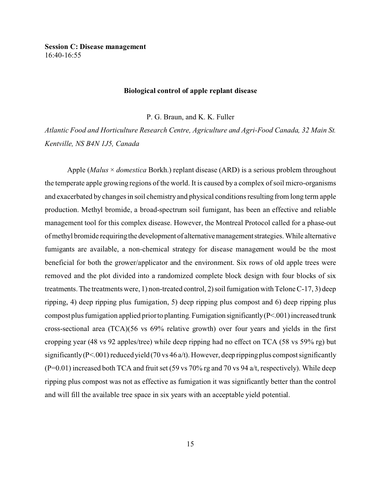**Session C: Disease management** 16:40-16:55

#### **Biological control of apple replant disease**

P. G. Braun, and K. K. Fuller

*Atlantic Food and Horticulture Research Centre, Agriculture and Agri-Food Canada, 32 Main St. Kentville, NS B4N 1J5, Canada*

Apple (*Malus* × *domestica* Borkh.) replant disease (ARD) is a serious problem throughout the temperate apple growing regions of the world. It is caused by a complex of soil micro-organisms and exacerbated by changes in soil chemistry and physical conditions resulting from long term apple production. Methyl bromide, a broad-spectrum soil fumigant, has been an effective and reliable management tool for this complex disease. However, the Montreal Protocol called for a phase-out of methyl bromide requiring the development of alternative management strategies. While alternative fumigants are available, a non-chemical strategy for disease management would be the most beneficial for both the grower/applicator and the environment. Six rows of old apple trees were removed and the plot divided into a randomized complete block design with four blocks of six treatments. The treatments were, 1) non-treated control, 2) soil fumigation with Telone C-17, 3) deep ripping, 4) deep ripping plus fumigation, 5) deep ripping plus compost and 6) deep ripping plus compost plus fumigation applied prior to planting. Fumigation significantly  $(P<.001)$  increased trunk cross-sectional area (TCA)(56 vs 69% relative growth) over four years and yields in the first cropping year (48 vs 92 apples/tree) while deep ripping had no effect on TCA (58 vs 59% rg) but significantly (P<.001) reduced yield (70 vs 46 a/t). However, deep ripping plus compost significantly  $(P=0.01)$  increased both TCA and fruit set (59 vs 70% rg and 70 vs 94 a/t, respectively). While deep ripping plus compost was not as effective as fumigation it was significantly better than the control and will fill the available tree space in six years with an acceptable yield potential.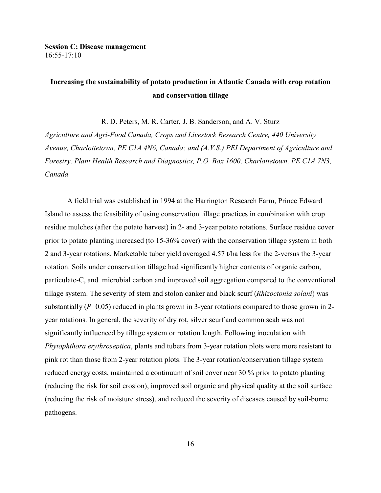### **Session C: Disease management** 16:55-17:10

# **Increasing the sustainability of potato production in Atlantic Canada with crop rotation and conservation tillage**

R. D. Peters, M. R. Carter, J. B. Sanderson, and A. V. Sturz

*Agriculture and Agri-Food Canada, Crops and Livestock Research Centre, 440 University Avenue, Charlottetown, PE C1A 4N6, Canada; and (A.V.S.) PEI Department of Agriculture and Forestry, Plant Health Research and Diagnostics, P.O. Box 1600, Charlottetown, PE C1A 7N3, Canada*

A field trial was established in 1994 at the Harrington Research Farm, Prince Edward Island to assess the feasibility of using conservation tillage practices in combination with crop residue mulches (after the potato harvest) in 2- and 3-year potato rotations. Surface residue cover prior to potato planting increased (to 15-36% cover) with the conservation tillage system in both 2 and 3-year rotations. Marketable tuber yield averaged 4.57 t/ha less for the 2-versus the 3-year rotation. Soils under conservation tillage had significantly higher contents of organic carbon, particulate-C, and microbial carbon and improved soil aggregation compared to the conventional tillage system. The severity of stem and stolon canker and black scurf (*Rhizoctonia solani*) was substantially (*P*=0.05) reduced in plants grown in 3-year rotations compared to those grown in 2year rotations. In general, the severity of dry rot, silver scurf and common scab was not significantly influenced by tillage system or rotation length. Following inoculation with *Phytophthora erythroseptica*, plants and tubers from 3-year rotation plots were more resistant to pink rot than those from 2-year rotation plots. The 3-year rotation/conservation tillage system reduced energy costs, maintained a continuum of soil cover near 30 % prior to potato planting (reducing the risk for soil erosion), improved soil organic and physical quality at the soil surface (reducing the risk of moisture stress), and reduced the severity of diseases caused by soil-borne pathogens.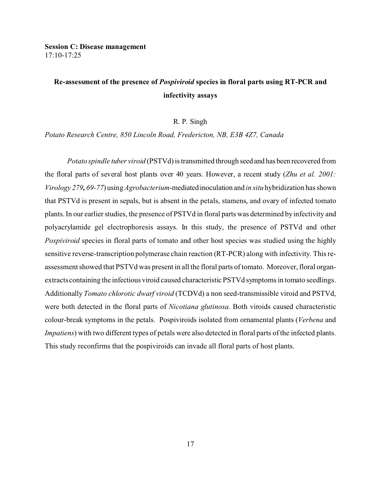**Session C: Disease management** 17:10-17:25

# **Re-assessment of the presence of** *Pospiviroid* **species in floral parts using RT-PCR and infectivity assays**

#### R. P. Singh

*Potato Research Centre, 850 Lincoln Road, Fredericton, NB, E3B 4Z7, Canada*

*Potato spindle tuber viroid* (PSTVd) is transmitted through seed and has been recovered from the floral parts of several host plants over 40 years. However, a recent study (*Zhu et al. 2001: Virology 279, 69-77*) using *Agrobacterium*-mediated inoculation and *in situ* hybridization has shown that PSTVd is present in sepals, but is absent in the petals, stamens, and ovary of infected tomato plants. In our earlier studies, the presence of PSTVd in floral parts was determined by infectivity and polyacrylamide gel electrophoresis assays. In this study, the presence of PSTVd and other *Pospiviroid* species in floral parts of tomato and other host species was studied using the highly sensitive reverse-transcription polymerase chain reaction (RT-PCR) along with infectivity. This reassessment showed that PSTVd was present in all the floral parts of tomato. Moreover, floral organextracts containing the infectious viroid caused characteristic PSTVd symptoms in tomato seedlings. Additionally *Tomato chlorotic dwarf viroid* (TCDVd) a non seed-transmissible viroid and PSTVd, were both detected in the floral parts of *Nicotiana glutinosa*. Both viroids caused characteristic colour-break symptoms in the petals. Pospiviroids isolated from ornamental plants (*Verbena* and *Impatiens*) with two different types of petals were also detected in floral parts of the infected plants. This study reconfirms that the pospiviroids can invade all floral parts of host plants.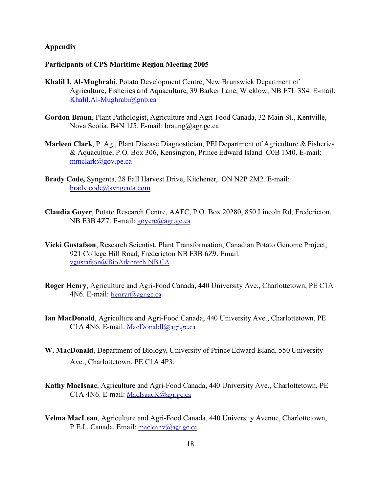### **Appendix**

#### **Participants of CPS Maritime Region Meeting 2005**

- **Khalil I. Al-Mughrabi**, Potato Development Centre, New Brunswick Department of Agriculture, Fisheries and Aquaculture, 39 Barker Lane, Wicklow, NB E7L 3S4. E-mail: [Khalil.Al-Mughrabi@gnb.ca](mailto:Khalil.Al-Mughrabi@gnb.ca)
- **Gordon Braun**, Plant Pathologist, Agriculture and Agri-Food Canada, 32 Main St., Kentville, Nova Scotia, B4N 1J5. E-mail: braung@agr.gc.ca
- **Marleen Clark**, P. Ag., Plant Disease Diagnostician, PEI Department of Agriculture & Fisheries & Aquacultue, P.O. Box 306, Kensington, Prince Edward Island C0B 1M0. E-mail: [mmclark@gov.pe.ca](mailto:mmclark@gov.pe.ca)
- **Brady Code,** Syngenta, 28 Fall Harvest Drive, Kitchener, ON N2P 2M2. E-mail: [brady.code@syngenta.com](mailto:brady.code@syngenta.com)
- **Claudia Goyer**, Potato Research Centre, AAFC, P.O. Box 20280, 850 Lincoln Rd, Fredericton, NB E3B 4Z7. E-mail: [goyerc@agr.gc.ca](mailto:goyerg@agr.gc.ca)
- **Vicki Gustafson**, Research Scientist, Plant Transformation, Canadian Potato Genome Project, 921 College Hill Road, Fredericton NB E3B 6Z9. Email: [vgustafson@BioAtlantech.NB.CA](mailto:vgustafson@BioAtlantech.NB.CA)
- **Roger Henry**, Agriculture and Agri-Food Canada, 440 University Ave., Charlottetown, PE C1A 4N6. E-mail: [henryr@agr.gc.ca](mailto:henryr@agr.gc.ca)
- **Ian MacDonald**, Agriculture and Agri-Food Canada, 440 University Ave., Charlottetown, PE C1A 4N6. E-mail: [MacDonaldI@agr.gc.ca](mailto:MacDonaldI@agr.gc.ca)
- **W. MacDonald**, Department of Biology, University of Prince Edward Island, 550 University Ave., Charlottetown, PE C1A 4P3.
- **Kathy MacIsaac**, Agriculture and Agri-Food Canada, 440 University Ave., Charlottetown, PE C1A 4N6. E-mail: [MacIsaacK@agr.gc.ca](mailto:MacIsaacK@agr.gc.ca)
- **Velma MacLean**, Agriculture and Agri-Food Canada, 440 University Avenue, Charlottetown, P.E.I., Canada. Email: [macleanv@agr.gc.ca](mailto:macleanv@agr.gc.ca)